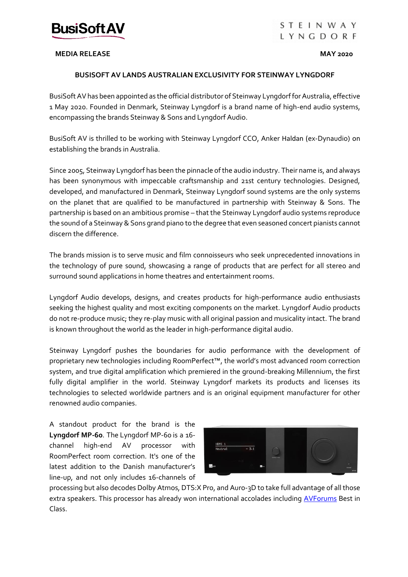

# **STEINWAY** LYNGDORF

### **MEDIA RELEASE MAY 2020**

# **BUSISOFT AV LANDS AUSTRALIAN EXCLUSIVITY FOR STEINWAY LYNGDORF**

BusiSoft AV has been appointed as the official distributor of Steinway Lyngdorf for Australia, effective 1 May 2020. Founded in Denmark, Steinway Lyngdorf is a brand name of high-end audio systems, encompassing the brands Steinway & Sons and Lyngdorf Audio.

BusiSoft AV is thrilled to be working with Steinway Lyngdorf CCO, Anker Haldan (ex-Dynaudio) on establishing the brands in Australia.

Since 2005, Steinway Lyngdorf has been the pinnacle of the audio industry. Their name is, and always has been synonymous with impeccable craftsmanship and 21st century technologies. Designed, developed, and manufactured in Denmark, Steinway Lyngdorf sound systems are the only systems on the planet that are qualified to be manufactured in partnership with Steinway & Sons. The partnership is based on an ambitious promise – that the Steinway Lyngdorf audio systems reproduce the sound of a Steinway & Sons grand piano to the degree that even seasoned concert pianists cannot discern the difference.

The brands mission is to serve music and film connoisseurs who seek unprecedented innovations in the technology of pure sound, showcasing a range of products that are perfect for all stereo and surround sound applications in home theatres and entertainment rooms.

Lyngdorf Audio develops, designs, and creates products for high-performance audio enthusiasts seeking the highest quality and most exciting components on the market. Lyngdorf Audio products do not re-produce music; they re-play music with all original passion and musicality intact. The brand is known throughout the world as the leader in high-performance digital audio.

Steinway Lyngdorf pushes the boundaries for audio performance with the development of proprietary new technologies including RoomPerfect™, the world's most advanced room correction system, and true digital amplification which premiered in the ground-breaking Millennium, the first fully digital amplifier in the world. Steinway Lyngdorf markets its products and licenses its technologies to selected worldwide partners and is an original equipment manufacturer for other renowned audio companies.

A standout product for the brand is the **[Lyngdorf MP-60](https://www.avforums.com/products/category.1/product.13504)**. The [Lyngdorf MP-60](https://www.avforums.com/products/category.1/product.13504) is a 16 channel high-end AV processor with RoomPerfect room correction. It's one of the latest addition to the Danish manufacturer's line-up, and not only includes 16-channels of



processing but also decodes Dolby Atmos, DTS:X Pro, and Auro-3D to take full advantage of all those extra speakers. This processor has already won international accolades including [AVForums](https://www.avforums.com/reviews/lyngdorf-mp-60-av-processor-review.17488) Best in Class.